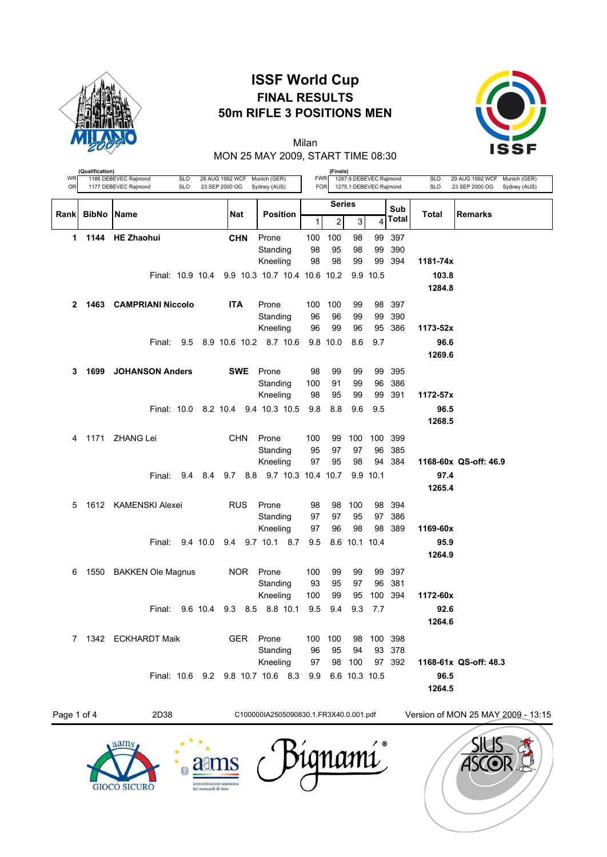

## **ISSF World Cup FINAL RESULTS 50m RIFLE 3 POSITIONS MEN**



MON 25 MAY 2009, START TIME 08:30 Milan

| WR<br>OR       | (Qualification) | 1186 DEBEVEC Rajmond<br>1177 DEBEVEC Rajmond | <b>SLO</b><br><b>SLO</b> |          | 29 AUG 1992 WCF<br>23 SEP 2000 OG | Munich (GER)<br>Sydney (AUS)                  | <b>FWR</b><br><b>FOR</b> | (Finals)      | 1287.9 DEBEVEC Rajmond<br>1275.1 DEBEVEC Rajmond |          |              | <b>SLO</b><br><b>SLO</b> | 29 AUG 1992 WCF<br>Munich (GER)<br>23 SEP 2000 OG<br>Sydney (AUS) |
|----------------|-----------------|----------------------------------------------|--------------------------|----------|-----------------------------------|-----------------------------------------------|--------------------------|---------------|--------------------------------------------------|----------|--------------|--------------------------|-------------------------------------------------------------------|
|                |                 |                                              |                          |          |                                   |                                               |                          | <b>Series</b> |                                                  |          |              |                          |                                                                   |
| Rank           | <b>BibNo</b>    | Name                                         |                          |          | <b>Nat</b>                        | <b>Position</b>                               | 1                        | 2             | 3                                                | 4        | Sub<br>Total | Total                    | <b>Remarks</b>                                                    |
| 1              | 1144            | <b>HE Zhaohui</b>                            |                          |          | <b>CHN</b>                        | Prone                                         | 100                      | 100           | 98                                               | 99       | 397          |                          |                                                                   |
|                |                 |                                              |                          |          |                                   | Standing                                      | 98                       | 95            | 98                                               | 99       | 390          |                          |                                                                   |
|                |                 |                                              |                          |          |                                   | Kneeling                                      | 98                       | 98            | 99                                               | 99       | 394          | 1181-74x                 |                                                                   |
|                |                 |                                              |                          |          |                                   | Final: 10.9 10.4 9.9 10.3 10.7 10.4 10.6 10.2 |                          |               |                                                  | 9.9 10.5 |              | 103.8                    |                                                                   |
|                |                 |                                              |                          |          |                                   |                                               |                          |               |                                                  |          |              | 1284.8                   |                                                                   |
| $\mathbf{2}$   | 1463            | <b>CAMPRIANI Niccolo</b>                     |                          |          | <b>ITA</b>                        | Prone                                         | 100                      | 100           | 99                                               | 98       | 397          |                          |                                                                   |
|                |                 |                                              |                          |          |                                   | Standing                                      | 96                       | 96            | 99                                               | 99       | 390          |                          |                                                                   |
|                |                 |                                              |                          |          |                                   | Kneeling                                      | 96                       | 99            | 96                                               | 95       | 386          | 1173-52x                 |                                                                   |
|                |                 | Final:                                       | 9.5                      |          |                                   | 8.9 10.6 10.2 8.7 10.6                        |                          | 9.8 10.0      | 8.6                                              | 9.7      |              | 96.6<br>1269.6           |                                                                   |
|                |                 |                                              |                          |          |                                   |                                               |                          |               |                                                  |          |              |                          |                                                                   |
| 3              | 1699            | <b>JOHANSON Anders</b>                       |                          |          | <b>SWE</b>                        | Prone                                         | 98                       | 99            | 99                                               | 99       | 395          |                          |                                                                   |
|                |                 |                                              |                          |          |                                   | Standing<br>Kneeling                          | 100<br>98                | 91<br>95      | 99<br>99                                         | 96<br>99 | 386<br>391   | 1172-57x                 |                                                                   |
|                |                 | Final: 10.0 8.2 10.4                         |                          |          |                                   | 9.4 10.3 10.5                                 | 9.8                      | 8.8           | 9.6                                              | 9.5      |              | 96.5                     |                                                                   |
|                |                 |                                              |                          |          |                                   |                                               |                          |               |                                                  |          |              | 1268.5                   |                                                                   |
| 4              | 1171            | ZHANG Lei                                    |                          |          | <b>CHN</b>                        | Prone                                         | 100                      | 99            | 100                                              | 100      | 399          |                          |                                                                   |
|                |                 |                                              |                          |          |                                   | Standing                                      | 95                       | 97            | 97                                               | 96       | 385          |                          |                                                                   |
|                |                 |                                              |                          |          |                                   | Kneeling                                      | 97                       | 95            | 98                                               | 94       | 384          |                          | 1168-60x QS-off: 46.9                                             |
|                |                 | Final:                                       | 9.4                      | 8.4      | 8.8<br>9.7                        | 9.7 10.3 10.4 10.7                            |                          |               |                                                  | 9.9 10.1 |              | 97.4                     |                                                                   |
|                |                 |                                              |                          |          |                                   |                                               |                          |               |                                                  |          |              | 1265.4                   |                                                                   |
| 5              |                 | 1612 KAMENSKI Alexei                         |                          |          | <b>RUS</b>                        | Prone                                         | 98                       | 98            | 100                                              | 98       | 394          |                          |                                                                   |
|                |                 |                                              |                          |          |                                   | Standing                                      | 97                       | 97            | 95                                               | 97       | 386          |                          |                                                                   |
|                |                 |                                              |                          |          |                                   | Kneeling                                      | 97                       | 96            | 98                                               | 98       | 389          | 1169-60x                 |                                                                   |
|                |                 | Final:                                       |                          | 9.4 10.0 |                                   | 9.4 9.7 10.1 8.7                              | 9.5                      |               | 8.6 10.1 10.4                                    |          |              | 95.9                     |                                                                   |
|                |                 |                                              |                          |          |                                   |                                               |                          |               |                                                  |          |              | 1264.9                   |                                                                   |
| 6              | 1550            | <b>BAKKEN Ole Magnus</b>                     |                          |          | <b>NOR</b>                        | Prone                                         | 100                      | 99            | 99                                               | 99       | 397          |                          |                                                                   |
|                |                 |                                              |                          |          |                                   | Standing                                      | 93                       | 95            | 97                                               | 96       | 381          |                          |                                                                   |
|                |                 |                                              |                          |          |                                   | Kneeling                                      | 100                      | 99            | 95                                               | 100      | 394          | 1172-60x                 |                                                                   |
|                |                 | Final:                                       |                          | 9.6 10.4 | 9.3                               | 8.5 8.8 10.1                                  | 9.5                      | 9.4           | 9.3                                              | 7.7      |              | 92.6<br>1264.6           |                                                                   |
|                |                 |                                              |                          |          |                                   |                                               |                          |               |                                                  |          |              |                          |                                                                   |
| $\overline{7}$ |                 | 1342 ECKHARDT Maik                           |                          |          | <b>GER</b>                        | Prone                                         | 100                      | 100           | 98                                               | 100      | 398          |                          |                                                                   |
|                |                 |                                              |                          |          |                                   | Standing<br>Kneeling                          | 96<br>97                 | 95<br>98      | 94<br>100                                        | 93<br>97 | 378<br>392   |                          | 1168-61x QS-off: 48.3                                             |
|                |                 |                                              |                          |          |                                   | Final: 10.6 9.2 9.8 10.7 10.6 8.3             | 9.9                      |               | 6.6 10.3 10.5                                    |          |              | 96.5                     |                                                                   |
|                |                 |                                              |                          |          |                                   |                                               |                          |               |                                                  |          |              | 1264.5                   |                                                                   |
|                |                 |                                              |                          |          |                                   |                                               |                          |               |                                                  |          |              |                          |                                                                   |

Page 1 of 4 2D38 C100000IA2505090830.1.FR3X40.0.001.pdf Version of MON 25 MAY 2009 - 13:15 $\prime$  ® lamı aat 處 **GIOCO SICURO**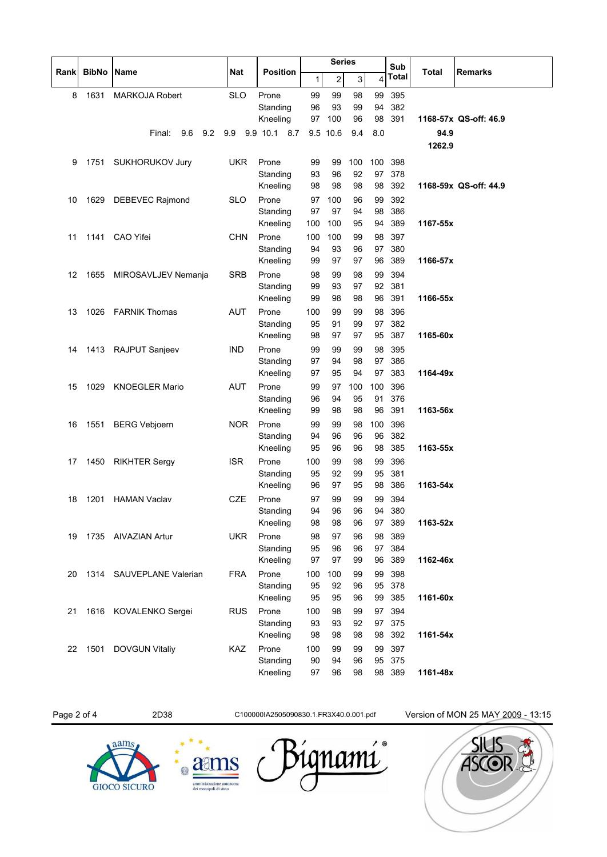| Sub<br><b>BibNo Name</b><br><b>Nat</b><br><b>Position</b><br>Total<br><b>Remarks</b><br>Rankl<br><b>Total</b><br>$\overline{\mathbf{c}}$<br>4<br>1<br>3<br>1631<br><b>SLO</b><br>99<br>395<br>8<br><b>MARKOJA Robert</b><br>Prone<br>99<br>99<br>98<br>94<br>382<br>Standing<br>96<br>93<br>99<br>Kneeling<br>98<br>391<br>97<br>100<br>96<br>1168-57x QS-off: 46.9<br>9.2<br>9.9 10.1 8.7<br>9.5 10.6<br>8.0<br>94.9<br>Final:<br>9.6<br>9.9<br>9.4<br>1262.9<br><b>UKR</b><br>Prone<br>100<br>100<br>398<br>1751<br>SUKHORUKOV Jury<br>99<br>99<br>9<br>Standing<br>93<br>92<br>97<br>378<br>96<br>Kneeling<br>98<br>392<br>98<br>98<br>98<br>1168-59x QS-off: 44.9<br>Prone<br><b>SLO</b><br>100<br>99<br>392<br>1629 DEBEVEC Rajmond<br>97<br>96<br>10<br>Standing<br>97<br>97<br>94<br>98<br>386<br>389<br>Kneeling<br>100<br>100<br>95<br>94<br>1167-55x<br><b>CHN</b><br>Prone<br>100<br>397<br>1141 CAO Yifei<br>100<br>99<br>98<br>11<br>93<br>97<br>380<br>Standing<br>94<br>96<br>99<br>97<br>97<br>96<br>389<br>1166-57x<br>Kneeling<br><b>SRB</b><br>99<br>394<br>Prone<br>98<br>99<br>98<br>12<br>1655<br>MIROSAVLJEV Nemanja<br>92<br>381<br>Standing<br>99<br>93<br>97<br>96<br>391<br>Kneeling<br>99<br>98<br>98<br>1166-55x<br>1026 FARNIK Thomas<br><b>AUT</b><br>Prone<br>99<br>99<br>98<br>396<br>100<br>13<br>Standing<br>91<br>97<br>382<br>95<br>99<br>387<br>98<br>97<br>97<br>95<br>Kneeling<br>1165-60x<br><b>IND</b><br>Prone<br>98<br>395<br>1413 RAJPUT Sanjeev<br>99<br>99<br>99<br>14<br>Standing<br>94<br>98<br>97<br>386<br>97<br>97<br>94<br>383<br>Kneeling<br>97<br>95<br>1164-49x |
|-------------------------------------------------------------------------------------------------------------------------------------------------------------------------------------------------------------------------------------------------------------------------------------------------------------------------------------------------------------------------------------------------------------------------------------------------------------------------------------------------------------------------------------------------------------------------------------------------------------------------------------------------------------------------------------------------------------------------------------------------------------------------------------------------------------------------------------------------------------------------------------------------------------------------------------------------------------------------------------------------------------------------------------------------------------------------------------------------------------------------------------------------------------------------------------------------------------------------------------------------------------------------------------------------------------------------------------------------------------------------------------------------------------------------------------------------------------------------------------------------------------------------------------------------------------------------------------------------------------------------|
|                                                                                                                                                                                                                                                                                                                                                                                                                                                                                                                                                                                                                                                                                                                                                                                                                                                                                                                                                                                                                                                                                                                                                                                                                                                                                                                                                                                                                                                                                                                                                                                                                         |
|                                                                                                                                                                                                                                                                                                                                                                                                                                                                                                                                                                                                                                                                                                                                                                                                                                                                                                                                                                                                                                                                                                                                                                                                                                                                                                                                                                                                                                                                                                                                                                                                                         |
|                                                                                                                                                                                                                                                                                                                                                                                                                                                                                                                                                                                                                                                                                                                                                                                                                                                                                                                                                                                                                                                                                                                                                                                                                                                                                                                                                                                                                                                                                                                                                                                                                         |
|                                                                                                                                                                                                                                                                                                                                                                                                                                                                                                                                                                                                                                                                                                                                                                                                                                                                                                                                                                                                                                                                                                                                                                                                                                                                                                                                                                                                                                                                                                                                                                                                                         |
|                                                                                                                                                                                                                                                                                                                                                                                                                                                                                                                                                                                                                                                                                                                                                                                                                                                                                                                                                                                                                                                                                                                                                                                                                                                                                                                                                                                                                                                                                                                                                                                                                         |
|                                                                                                                                                                                                                                                                                                                                                                                                                                                                                                                                                                                                                                                                                                                                                                                                                                                                                                                                                                                                                                                                                                                                                                                                                                                                                                                                                                                                                                                                                                                                                                                                                         |
|                                                                                                                                                                                                                                                                                                                                                                                                                                                                                                                                                                                                                                                                                                                                                                                                                                                                                                                                                                                                                                                                                                                                                                                                                                                                                                                                                                                                                                                                                                                                                                                                                         |
|                                                                                                                                                                                                                                                                                                                                                                                                                                                                                                                                                                                                                                                                                                                                                                                                                                                                                                                                                                                                                                                                                                                                                                                                                                                                                                                                                                                                                                                                                                                                                                                                                         |
|                                                                                                                                                                                                                                                                                                                                                                                                                                                                                                                                                                                                                                                                                                                                                                                                                                                                                                                                                                                                                                                                                                                                                                                                                                                                                                                                                                                                                                                                                                                                                                                                                         |
|                                                                                                                                                                                                                                                                                                                                                                                                                                                                                                                                                                                                                                                                                                                                                                                                                                                                                                                                                                                                                                                                                                                                                                                                                                                                                                                                                                                                                                                                                                                                                                                                                         |
|                                                                                                                                                                                                                                                                                                                                                                                                                                                                                                                                                                                                                                                                                                                                                                                                                                                                                                                                                                                                                                                                                                                                                                                                                                                                                                                                                                                                                                                                                                                                                                                                                         |
|                                                                                                                                                                                                                                                                                                                                                                                                                                                                                                                                                                                                                                                                                                                                                                                                                                                                                                                                                                                                                                                                                                                                                                                                                                                                                                                                                                                                                                                                                                                                                                                                                         |
|                                                                                                                                                                                                                                                                                                                                                                                                                                                                                                                                                                                                                                                                                                                                                                                                                                                                                                                                                                                                                                                                                                                                                                                                                                                                                                                                                                                                                                                                                                                                                                                                                         |
|                                                                                                                                                                                                                                                                                                                                                                                                                                                                                                                                                                                                                                                                                                                                                                                                                                                                                                                                                                                                                                                                                                                                                                                                                                                                                                                                                                                                                                                                                                                                                                                                                         |
|                                                                                                                                                                                                                                                                                                                                                                                                                                                                                                                                                                                                                                                                                                                                                                                                                                                                                                                                                                                                                                                                                                                                                                                                                                                                                                                                                                                                                                                                                                                                                                                                                         |
|                                                                                                                                                                                                                                                                                                                                                                                                                                                                                                                                                                                                                                                                                                                                                                                                                                                                                                                                                                                                                                                                                                                                                                                                                                                                                                                                                                                                                                                                                                                                                                                                                         |
|                                                                                                                                                                                                                                                                                                                                                                                                                                                                                                                                                                                                                                                                                                                                                                                                                                                                                                                                                                                                                                                                                                                                                                                                                                                                                                                                                                                                                                                                                                                                                                                                                         |
|                                                                                                                                                                                                                                                                                                                                                                                                                                                                                                                                                                                                                                                                                                                                                                                                                                                                                                                                                                                                                                                                                                                                                                                                                                                                                                                                                                                                                                                                                                                                                                                                                         |
|                                                                                                                                                                                                                                                                                                                                                                                                                                                                                                                                                                                                                                                                                                                                                                                                                                                                                                                                                                                                                                                                                                                                                                                                                                                                                                                                                                                                                                                                                                                                                                                                                         |
|                                                                                                                                                                                                                                                                                                                                                                                                                                                                                                                                                                                                                                                                                                                                                                                                                                                                                                                                                                                                                                                                                                                                                                                                                                                                                                                                                                                                                                                                                                                                                                                                                         |
|                                                                                                                                                                                                                                                                                                                                                                                                                                                                                                                                                                                                                                                                                                                                                                                                                                                                                                                                                                                                                                                                                                                                                                                                                                                                                                                                                                                                                                                                                                                                                                                                                         |
|                                                                                                                                                                                                                                                                                                                                                                                                                                                                                                                                                                                                                                                                                                                                                                                                                                                                                                                                                                                                                                                                                                                                                                                                                                                                                                                                                                                                                                                                                                                                                                                                                         |
| 1029<br><b>KNOEGLER Mario</b><br><b>AUT</b><br>Prone<br>97<br>100<br>100<br>396<br>15<br>99                                                                                                                                                                                                                                                                                                                                                                                                                                                                                                                                                                                                                                                                                                                                                                                                                                                                                                                                                                                                                                                                                                                                                                                                                                                                                                                                                                                                                                                                                                                             |
| 95<br>91<br>376<br>Standing<br>96<br>94                                                                                                                                                                                                                                                                                                                                                                                                                                                                                                                                                                                                                                                                                                                                                                                                                                                                                                                                                                                                                                                                                                                                                                                                                                                                                                                                                                                                                                                                                                                                                                                 |
| 391<br>98<br>96<br>1163-56x<br>Kneeling<br>99<br>98                                                                                                                                                                                                                                                                                                                                                                                                                                                                                                                                                                                                                                                                                                                                                                                                                                                                                                                                                                                                                                                                                                                                                                                                                                                                                                                                                                                                                                                                                                                                                                     |
| <b>NOR</b><br>Prone<br>100<br>396<br>1551<br>99<br>99<br>98<br>16<br><b>BERG Vebjoern</b>                                                                                                                                                                                                                                                                                                                                                                                                                                                                                                                                                                                                                                                                                                                                                                                                                                                                                                                                                                                                                                                                                                                                                                                                                                                                                                                                                                                                                                                                                                                               |
| 96<br>96<br>96<br>382<br>Standing<br>94                                                                                                                                                                                                                                                                                                                                                                                                                                                                                                                                                                                                                                                                                                                                                                                                                                                                                                                                                                                                                                                                                                                                                                                                                                                                                                                                                                                                                                                                                                                                                                                 |
| 98<br>385<br>Kneeling<br>95<br>96<br>96<br>1163-55x                                                                                                                                                                                                                                                                                                                                                                                                                                                                                                                                                                                                                                                                                                                                                                                                                                                                                                                                                                                                                                                                                                                                                                                                                                                                                                                                                                                                                                                                                                                                                                     |
| <b>ISR</b><br>Prone<br>100<br>99<br>98<br>99<br>396<br>1450<br><b>RIKHTER Sergy</b><br>17<br>95<br>92<br>95<br>381<br>Standing<br>99                                                                                                                                                                                                                                                                                                                                                                                                                                                                                                                                                                                                                                                                                                                                                                                                                                                                                                                                                                                                                                                                                                                                                                                                                                                                                                                                                                                                                                                                                    |
| 386<br>Kneeling<br>96<br>97<br>95<br>98<br>1163-54x                                                                                                                                                                                                                                                                                                                                                                                                                                                                                                                                                                                                                                                                                                                                                                                                                                                                                                                                                                                                                                                                                                                                                                                                                                                                                                                                                                                                                                                                                                                                                                     |
| 99<br><b>HAMAN Vaclav</b><br>97<br>99<br>99<br>394<br>1201<br><b>CZE</b><br>Prone<br>18                                                                                                                                                                                                                                                                                                                                                                                                                                                                                                                                                                                                                                                                                                                                                                                                                                                                                                                                                                                                                                                                                                                                                                                                                                                                                                                                                                                                                                                                                                                                 |
| 94<br>96<br>96<br>94<br>Standing<br>380                                                                                                                                                                                                                                                                                                                                                                                                                                                                                                                                                                                                                                                                                                                                                                                                                                                                                                                                                                                                                                                                                                                                                                                                                                                                                                                                                                                                                                                                                                                                                                                 |
| Kneeling<br>98<br>98<br>97 389<br>1163-52x<br>96                                                                                                                                                                                                                                                                                                                                                                                                                                                                                                                                                                                                                                                                                                                                                                                                                                                                                                                                                                                                                                                                                                                                                                                                                                                                                                                                                                                                                                                                                                                                                                        |
| Prone<br>97<br>98<br>389<br>1735 AIVAZIAN Artur<br><b>UKR</b><br>98<br>96<br>19                                                                                                                                                                                                                                                                                                                                                                                                                                                                                                                                                                                                                                                                                                                                                                                                                                                                                                                                                                                                                                                                                                                                                                                                                                                                                                                                                                                                                                                                                                                                         |
| 96<br>97 384<br>Standing<br>95<br>96                                                                                                                                                                                                                                                                                                                                                                                                                                                                                                                                                                                                                                                                                                                                                                                                                                                                                                                                                                                                                                                                                                                                                                                                                                                                                                                                                                                                                                                                                                                                                                                    |
| 97<br>389<br>Kneeling<br>97<br>99<br>96<br>1162-46x                                                                                                                                                                                                                                                                                                                                                                                                                                                                                                                                                                                                                                                                                                                                                                                                                                                                                                                                                                                                                                                                                                                                                                                                                                                                                                                                                                                                                                                                                                                                                                     |
| Prone<br>99<br>398<br>1314 SAUVEPLANE Valerian<br>100<br>99<br>FRA<br>100<br>20                                                                                                                                                                                                                                                                                                                                                                                                                                                                                                                                                                                                                                                                                                                                                                                                                                                                                                                                                                                                                                                                                                                                                                                                                                                                                                                                                                                                                                                                                                                                         |
| Standing<br>95 378<br>95<br>92<br>96                                                                                                                                                                                                                                                                                                                                                                                                                                                                                                                                                                                                                                                                                                                                                                                                                                                                                                                                                                                                                                                                                                                                                                                                                                                                                                                                                                                                                                                                                                                                                                                    |
| 385<br>Kneeling<br>95<br>95<br>96<br>99<br>1161-60x                                                                                                                                                                                                                                                                                                                                                                                                                                                                                                                                                                                                                                                                                                                                                                                                                                                                                                                                                                                                                                                                                                                                                                                                                                                                                                                                                                                                                                                                                                                                                                     |
| Prone<br>97<br>1616 KOVALENKO Sergei<br><b>RUS</b><br>100<br>98<br>99<br>394<br>21<br>Standing<br>93<br>97 375<br>93<br>92                                                                                                                                                                                                                                                                                                                                                                                                                                                                                                                                                                                                                                                                                                                                                                                                                                                                                                                                                                                                                                                                                                                                                                                                                                                                                                                                                                                                                                                                                              |
| 98 392<br>Kneeling<br>98<br>98<br>98<br>1161-54x                                                                                                                                                                                                                                                                                                                                                                                                                                                                                                                                                                                                                                                                                                                                                                                                                                                                                                                                                                                                                                                                                                                                                                                                                                                                                                                                                                                                                                                                                                                                                                        |
| Prone<br><b>KAZ</b><br>99<br>397<br>1501<br><b>DOVGUN Vitaliy</b><br>100<br>99<br>99<br>22                                                                                                                                                                                                                                                                                                                                                                                                                                                                                                                                                                                                                                                                                                                                                                                                                                                                                                                                                                                                                                                                                                                                                                                                                                                                                                                                                                                                                                                                                                                              |
| Standing<br>94<br>95 375<br>90<br>96                                                                                                                                                                                                                                                                                                                                                                                                                                                                                                                                                                                                                                                                                                                                                                                                                                                                                                                                                                                                                                                                                                                                                                                                                                                                                                                                                                                                                                                                                                                                                                                    |
| Kneeling<br>98 389<br>97<br>96<br>98<br>1161-48x                                                                                                                                                                                                                                                                                                                                                                                                                                                                                                                                                                                                                                                                                                                                                                                                                                                                                                                                                                                                                                                                                                                                                                                                                                                                                                                                                                                                                                                                                                                                                                        |

Page 2 of 4 2D38 2D38 C100000IA2505090830.1.FR3X40.0.001.pdf Version of MON 25 MAY 2009 - 13:15







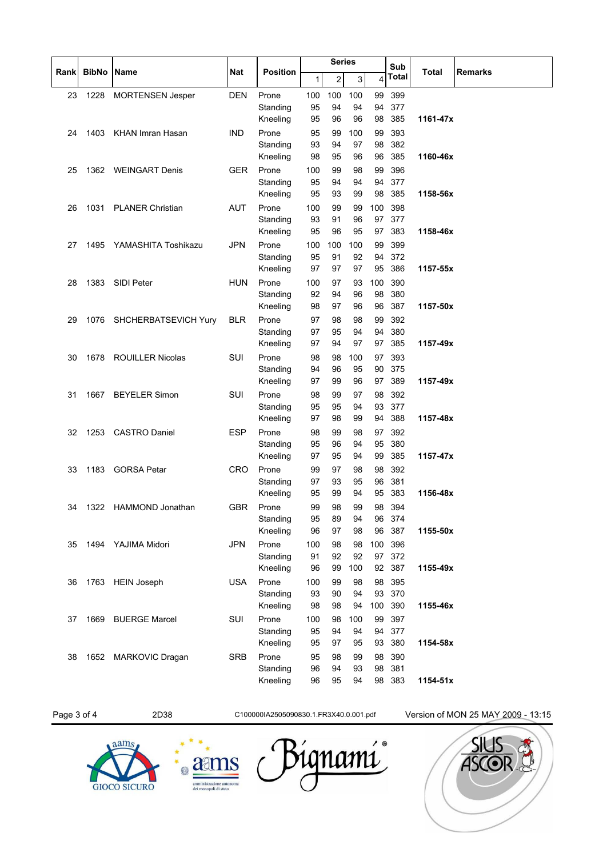|      |      |                           |            |                      | <b>Series</b> |          |          |           | Sub              |          |                |
|------|------|---------------------------|------------|----------------------|---------------|----------|----------|-----------|------------------|----------|----------------|
| Rank |      | <b>BibNo Name</b>         | Nat        | <b>Position</b>      | $\mathbf{1}$  | 2        | 3        | 4         | Total            | Total    | <b>Remarks</b> |
| 23   | 1228 | <b>MORTENSEN Jesper</b>   | <b>DEN</b> | Prone                | 100           | 100      | 100      | 99        | 399              |          |                |
|      |      |                           |            | Standing             | 95            | 94       | 94       | 94        | 377              |          |                |
|      |      |                           |            | Kneeling             | 95            | 96       | 96       | 98        | 385              | 1161-47x |                |
| 24   |      | 1403 KHAN Imran Hasan     | <b>IND</b> | Prone                | 95<br>93      | 99<br>94 | 100      | 99<br>98  | 393<br>382       |          |                |
|      |      |                           |            | Standing<br>Kneeling | 98            | 95       | 97<br>96 | 96        | 385              | 1160-46x |                |
| 25   |      | 1362 WEINGART Denis       | <b>GER</b> | Prone                | 100           | 99       | 98       | 99        | 396              |          |                |
|      |      |                           |            | Standing             | 95            | 94       | 94       | 94        | 377              |          |                |
|      |      |                           |            | Kneeling             | 95            | 93       | 99       |           | 98 385           | 1158-56x |                |
| 26   | 1031 | <b>PLANER Christian</b>   | <b>AUT</b> | Prone                | 100           | 99       | 99       | 100       | 398              |          |                |
|      |      |                           |            | Standing             | 93            | 91       | 96       | 97        | 377              |          |                |
|      |      |                           |            | Kneeling             | 95            | 96       | 95       | 97        | 383              | 1158-46x |                |
| 27   | 1495 | YAMASHITA Toshikazu       | <b>JPN</b> | Prone                | 100           | 100      | 100      | 99        | 399              |          |                |
|      |      |                           |            | Standing             | 95            | 91       | 92       | 94        | 372              |          |                |
|      |      |                           |            | Kneeling             | 97            | 97       | 97       | 95        | 386              | 1157-55x |                |
| 28   | 1383 | SIDI Peter                | <b>HUN</b> | Prone<br>Standing    | 100<br>92     | 97<br>94 | 93<br>96 | 100<br>98 | 390<br>380       |          |                |
|      |      |                           |            | Kneeling             | 98            | 97       | 96       | 96        | 387              | 1157-50x |                |
| 29   |      | 1076 SHCHERBATSEVICH Yury | <b>BLR</b> | Prone                | 97            | 98       | 98       | 99        | 392              |          |                |
|      |      |                           |            | Standing             | 97            | 95       | 94       | 94        | 380              |          |                |
|      |      |                           |            | Kneeling             | 97            | 94       | 97       | 97        | 385              | 1157-49x |                |
| 30   |      | 1678 ROUILLER Nicolas     | SUI        | Prone                | 98            | 98       | 100      | 97        | 393              |          |                |
|      |      |                           |            | Standing             | 94            | 96       | 95       | 90        | 375              |          |                |
|      |      |                           |            | Kneeling             | 97            | 99       | 96       | 97        | 389              | 1157-49x |                |
| 31   | 1667 | <b>BEYELER Simon</b>      | <b>SUI</b> | Prone                | 98            | 99       | 97       | 98        | 392              |          |                |
|      |      |                           |            | Standing             | 95            | 95       | 94       | 93        | 377              |          |                |
|      |      |                           |            | Kneeling             | 97            | 98       | 99       | 94        | 388              | 1157-48x |                |
| 32   |      | 1253 CASTRO Daniel        | <b>ESP</b> | Prone                | 98            | 99       | 98       | 97        | 392              |          |                |
|      |      |                           |            | Standing<br>Kneeling | 95<br>97      | 96<br>95 | 94<br>94 | 95<br>99  | 380<br>385       | 1157-47x |                |
| 33   |      | 1183 GORSA Petar          | <b>CRO</b> | Prone                | 99            | 97       | 98       | 98        | 392              |          |                |
|      |      |                           |            | Standing             | 97            | 93       | 95       | 96        | 381              |          |                |
|      |      |                           |            | Kneeling             | 95            | 99       | 94       | 95        | 383              | 1156-48x |                |
| 34   |      | 1322 HAMMOND Jonathan     | <b>GBR</b> | Prone                | 99            | 98       | 99       | 98        | 394              |          |                |
|      |      |                           |            | Standing             | 95            | 89       | 94       | 96        | 374              |          |                |
|      |      |                           |            | Kneeling             | 96            | 97       | 98       | 96        | 387              | 1155-50x |                |
| 35   | 1494 | YAJIMA Midori             | <b>JPN</b> | Prone                | 100           | 98       | 98       | 100       | 396              |          |                |
|      |      |                           |            | Standing             | 91            | 92       | 92       | 97        | 372              |          |                |
|      |      |                           |            | Kneeling             | 96            | 99       | 100      | 92        | 387              | 1155-49x |                |
| 36   |      | 1763 HEIN Joseph          | <b>USA</b> | Prone<br>Standing    | 100<br>93     | 99<br>90 | 98<br>94 |           | 98 395<br>93 370 |          |                |
|      |      |                           |            | Kneeling             | 98            | 98       | 94       | 100       | 390              | 1155-46x |                |
| 37   | 1669 | <b>BUERGE Marcel</b>      | SUI        | Prone                | 100           | 98       | 100      | 99        | 397              |          |                |
|      |      |                           |            | Standing             | 95            | 94       | 94       |           | 94 377           |          |                |
|      |      |                           |            | Kneeling             | 95            | 97       | 95       |           | 93 380           | 1154-58x |                |
| 38   |      | 1652 MARKOVIC Dragan      | <b>SRB</b> | Prone                | 95            | 98       | 99       | 98        | 390              |          |                |
|      |      |                           |            | Standing             | 96            | 94       | 93       | 98        | 381              |          |                |
|      |      |                           |            | Kneeling             | 96            | 95       | 94       |           | 98 383           | 1154-51x |                |
|      |      |                           |            |                      |               |          |          |           |                  |          |                |

Page 3 of 4 2D38 2D38 C100000IA2505090830.1.FR3X40.0.001.pdf Version of MON 25 MAY 2009 - 13:15